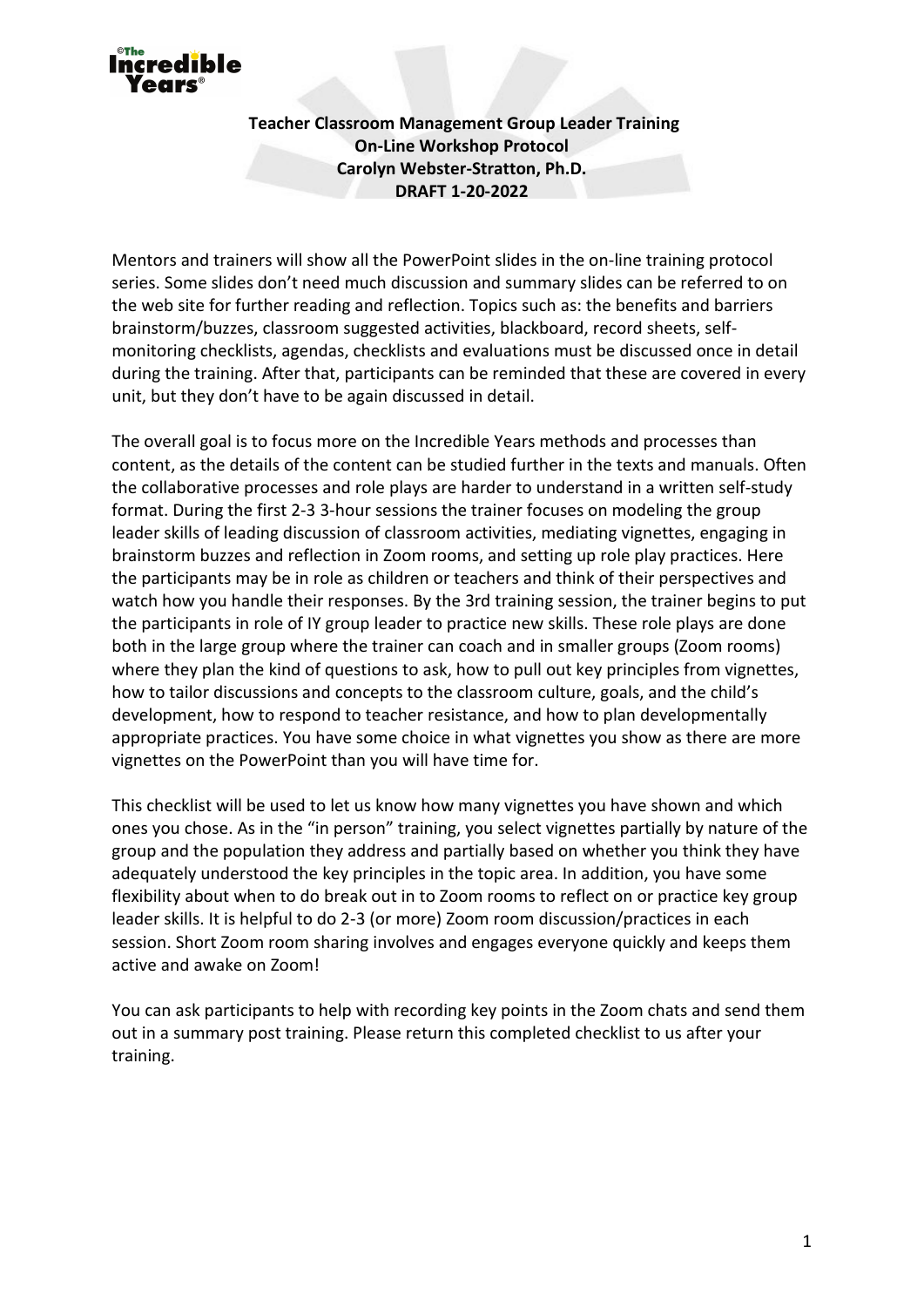

**Teacher Classroom Management Group Leader Training On-Line Workshop Protocol Carolyn Webster-Stratton, Ph.D. DRAFT 1-20-2022** 

Mentors and trainers will show all the PowerPoint slides in the on-line training protocol series. Some slides don't need much discussion and summary slides can be referred to on the web site for further reading and reflection. Topics such as: the benefits and barriers brainstorm/buzzes, classroom suggested activities, blackboard, record sheets, selfmonitoring checklists, agendas, checklists and evaluations must be discussed once in detail during the training. After that, participants can be reminded that these are covered in every unit, but they don't have to be again discussed in detail.

The overall goal is to focus more on the Incredible Years methods and processes than content, as the details of the content can be studied further in the texts and manuals. Often the collaborative processes and role plays are harder to understand in a written self-study format. During the first 2-3 3-hour sessions the trainer focuses on modeling the group leader skills of leading discussion of classroom activities, mediating vignettes, engaging in brainstorm buzzes and reflection in Zoom rooms, and setting up role play practices. Here the participants may be in role as children or teachers and think of their perspectives and watch how you handle their responses. By the 3rd training session, the trainer begins to put the participants in role of IY group leader to practice new skills. These role plays are done both in the large group where the trainer can coach and in smaller groups (Zoom rooms) where they plan the kind of questions to ask, how to pull out key principles from vignettes, how to tailor discussions and concepts to the classroom culture, goals, and the child's development, how to respond to teacher resistance, and how to plan developmentally appropriate practices. You have some choice in what vignettes you show as there are more vignettes on the PowerPoint than you will have time for.

This checklist will be used to let us know how many vignettes you have shown and which ones you chose. As in the "in person" training, you select vignettes partially by nature of the group and the population they address and partially based on whether you think they have adequately understood the key principles in the topic area. In addition, you have some flexibility about when to do break out in to Zoom rooms to reflect on or practice key group leader skills. It is helpful to do 2-3 (or more) Zoom room discussion/practices in each session. Short Zoom room sharing involves and engages everyone quickly and keeps them active and awake on Zoom!

You can ask participants to help with recording key points in the Zoom chats and send them out in a summary post training. Please return this completed checklist to us after your training.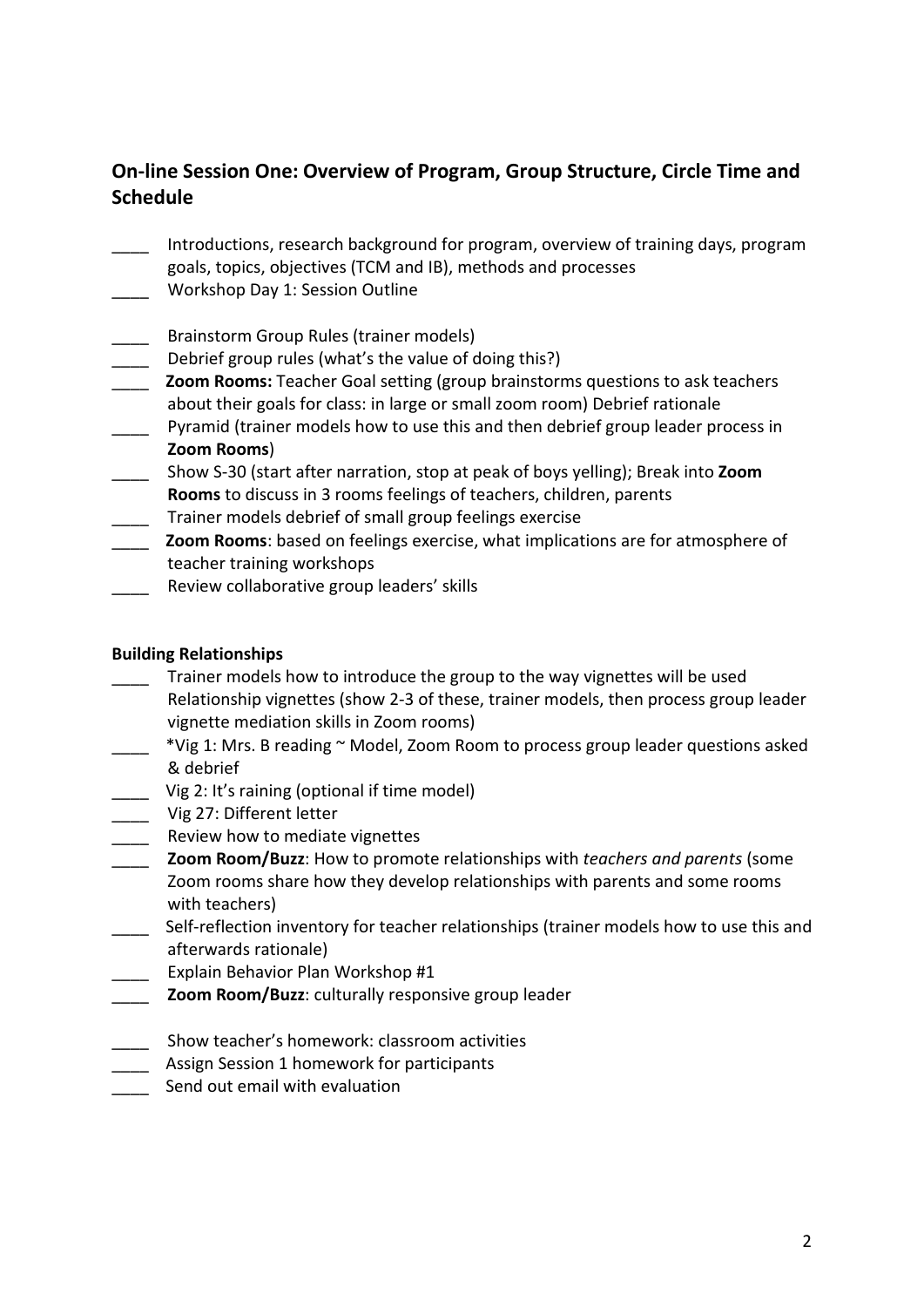# **On-line Session One: Overview of Program, Group Structure, Circle Time and Schedule**

- \_\_\_\_ Introductions, research background for program, overview of training days, program goals, topics, objectives (TCM and IB), methods and processes
- \_\_\_\_ Workshop Day 1: Session Outline
- \_\_\_\_ Brainstorm Group Rules (trainer models)
- Debrief group rules (what's the value of doing this?)
- \_\_\_\_ **Zoom Rooms:** Teacher Goal setting (group brainstorms questions to ask teachers about their goals for class: in large or small zoom room) Debrief rationale
- \_\_\_\_ Pyramid (trainer models how to use this and then debrief group leader process in **Zoom Rooms**)
- \_\_\_\_ Show S-30 (start after narration, stop at peak of boys yelling); Break into **Zoom Rooms** to discuss in 3 rooms feelings of teachers, children, parents
- \_\_\_\_ Trainer models debrief of small group feelings exercise
- \_\_\_\_ **Zoom Rooms**: based on feelings exercise, what implications are for atmosphere of teacher training workshops
- Review collaborative group leaders' skills

### **Building Relationships**

- Trainer models how to introduce the group to the way vignettes will be used Relationship vignettes (show 2-3 of these, trainer models, then process group leader vignette mediation skills in Zoom rooms)
- \_\_\_\_ \*Vig 1: Mrs. B reading ~ Model, Zoom Room to process group leader questions asked & debrief
- \_\_\_\_ Vig 2: It's raining (optional if time model)
- \_\_\_\_ Vig 27: Different letter
- \_\_\_\_ Review how to mediate vignettes
- \_\_\_\_ **Zoom Room/Buzz**: How to promote relationships with *teachers and parents* (some Zoom rooms share how they develop relationships with parents and some rooms with teachers)
- Lacker Self-reflection inventory for teacher relationships (trainer models how to use this and afterwards rationale)
- Explain Behavior Plan Workshop #1
- **Zoom Room/Buzz: culturally responsive group leader**
- \_\_\_\_ Show teacher's homework: classroom activities
- \_\_\_\_ Assign Session 1 homework for participants
- Send out email with evaluation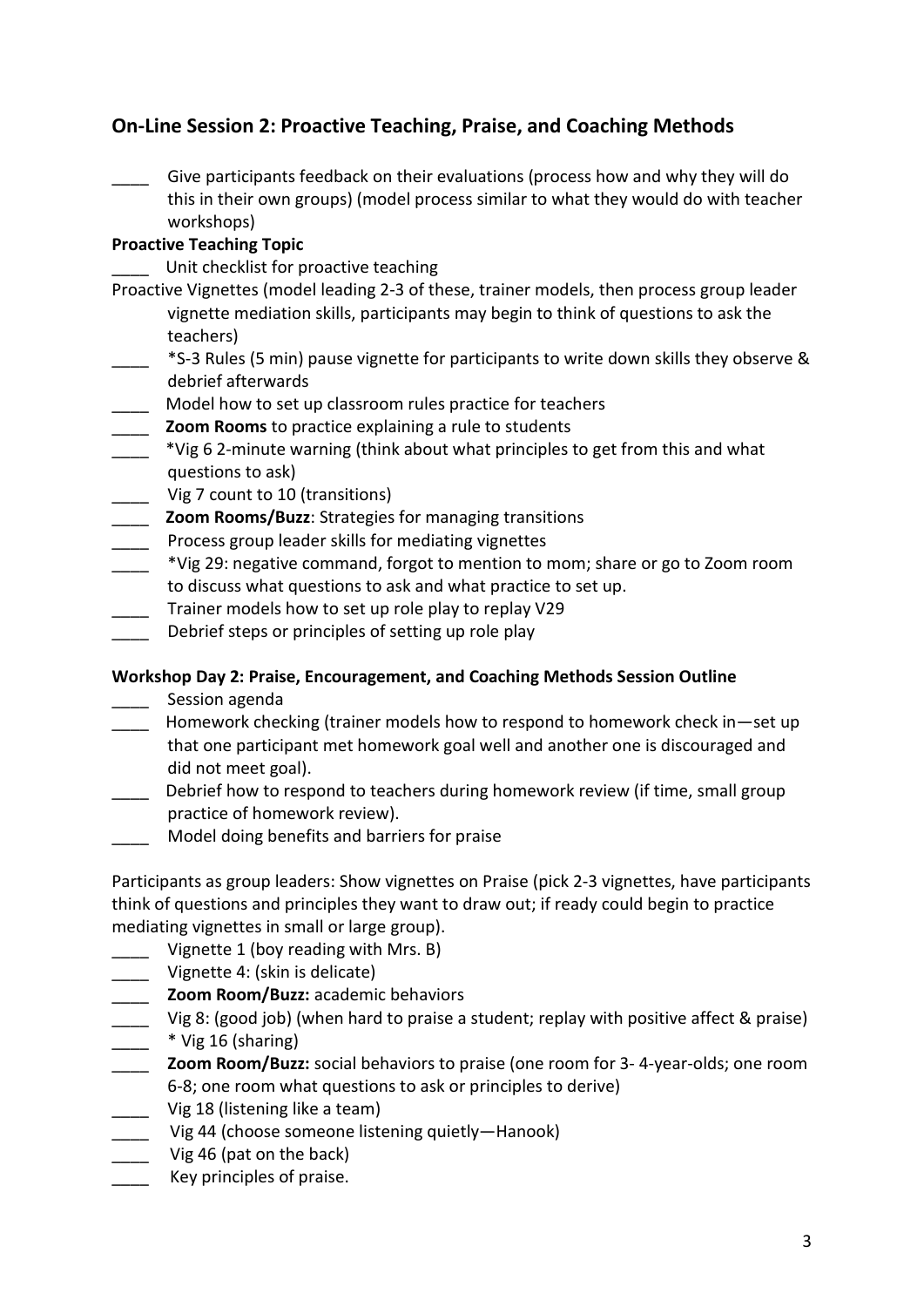# **On-Line Session 2: Proactive Teaching, Praise, and Coaching Methods**

Give participants feedback on their evaluations (process how and why they will do this in their own groups) (model process similar to what they would do with teacher workshops)

#### **Proactive Teaching Topic**

Unit checklist for proactive teaching

- Proactive Vignettes (model leading 2-3 of these, trainer models, then process group leader vignette mediation skills, participants may begin to think of questions to ask the teachers)
- \_\_\_\_ \*S-3 Rules (5 min) pause vignette for participants to write down skills they observe & debrief afterwards
- \_\_\_\_ Model how to set up classroom rules practice for teachers
- \_\_\_\_ **Zoom Rooms** to practice explaining a rule to students
- \_\_\_\_ \*Vig 6 2-minute warning (think about what principles to get from this and what questions to ask)
- \_\_\_\_ Vig 7 count to 10 (transitions)
- \_\_\_\_ **Zoom Rooms/Buzz**: Strategies for managing transitions
- Process group leader skills for mediating vignettes
- \_\_\_\_ \*Vig 29: negative command, forgot to mention to mom; share or go to Zoom room to discuss what questions to ask and what practice to set up.
- \_\_\_\_ Trainer models how to set up role play to replay V29
- Debrief steps or principles of setting up role play

#### **Workshop Day 2: Praise, Encouragement, and Coaching Methods Session Outline**

- Session agenda
- \_\_\_\_ Homework checking (trainer models how to respond to homework check in—set up that one participant met homework goal well and another one is discouraged and did not meet goal).
- Debrief how to respond to teachers during homework review (if time, small group practice of homework review).
- \_\_\_\_ Model doing benefits and barriers for praise

Participants as group leaders: Show vignettes on Praise (pick 2-3 vignettes, have participants think of questions and principles they want to draw out; if ready could begin to practice mediating vignettes in small or large group).

- \_\_\_\_ Vignette 1 (boy reading with Mrs. B)
- Vignette 4: (skin is delicate)
- \_\_\_\_ **Zoom Room/Buzz:** academic behaviors
- Vig 8: (good job) (when hard to praise a student; replay with positive affect & praise) \_\_\_\_ \* Vig 16 (sharing)
- \_\_\_\_ **Zoom Room/Buzz:** social behaviors to praise (one room for 3- 4-year-olds; one room 6-8; one room what questions to ask or principles to derive)
- \_\_\_\_ Vig 18 (listening like a team)
- Vig 44 (choose someone listening quietly—Hanook)
- Vig 46 (pat on the back)
- Key principles of praise.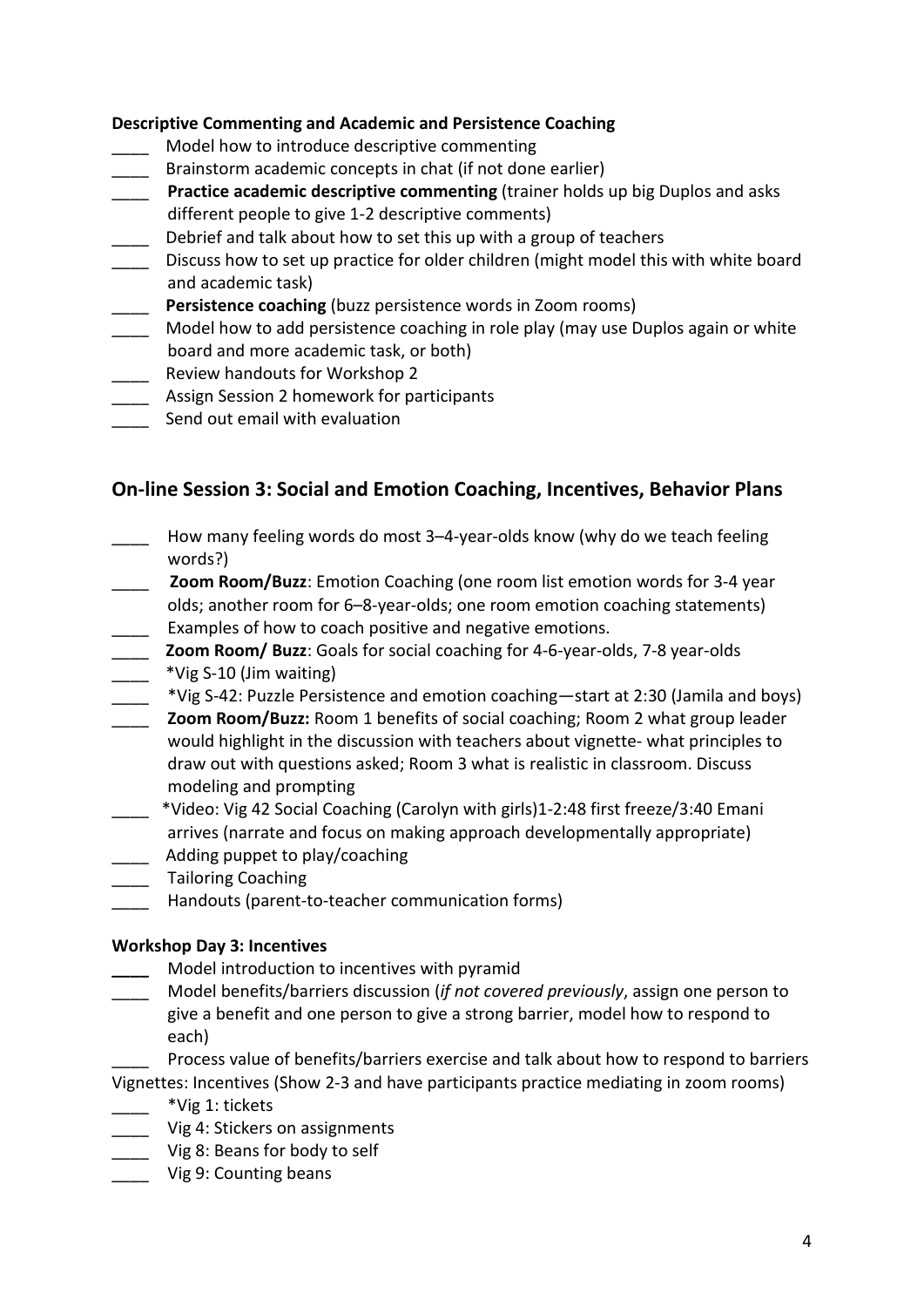#### **Descriptive Commenting and Academic and Persistence Coaching**

- Model how to introduce descriptive commenting
- \_\_\_\_ Brainstorm academic concepts in chat (if not done earlier)
- \_\_\_\_ **Practice academic descriptive commenting** (trainer holds up big Duplos and asks different people to give 1-2 descriptive comments)
	- \_\_\_\_ Debrief and talk about how to set this up with a group of teachers
- \_\_\_\_ Discuss how to set up practice for older children (might model this with white board and academic task)
- \_\_\_\_ **Persistence coaching** (buzz persistence words in Zoom rooms)
- Model how to add persistence coaching in role play (may use Duplos again or white board and more academic task, or both)
- \_\_\_\_ Review handouts for Workshop 2
- \_\_\_\_ Assign Session 2 homework for participants
- Send out email with evaluation

### **On-line Session 3: Social and Emotion Coaching, Incentives, Behavior Plans**

- How many feeling words do most 3–4-year-olds know (why do we teach feeling words?)
- **Zoom Room/Buzz**: Emotion Coaching (one room list emotion words for 3-4 year olds; another room for 6–8-year-olds; one room emotion coaching statements) **Examples of how to coach positive and negative emotions.**
- \_\_\_\_ **Zoom Room/ Buzz**: Goals for social coaching for 4-6-year-olds, 7-8 year-olds \_\_\_\_ \*Vig S-10 (Jim waiting)
- \_\_\_\_ \*Vig S-42: Puzzle Persistence and emotion coaching—start at 2:30 (Jamila and boys)
- \_\_\_\_ **Zoom Room/Buzz:** Room 1 benefits of social coaching; Room 2 what group leader would highlight in the discussion with teachers about vignette- what principles to draw out with questions asked; Room 3 what is realistic in classroom. Discuss modeling and prompting
- \_\_\_\_ \*Video: Vig 42 Social Coaching (Carolyn with girls)1-2:48 first freeze/3:40 Emani arrives (narrate and focus on making approach developmentally appropriate) \_\_\_\_ Adding puppet to play/coaching
- \_\_\_\_ Tailoring Coaching
- \_\_\_\_ Handouts (parent-to-teacher communication forms)

#### **Workshop Day 3: Incentives**

- **\_\_\_\_** Model introduction to incentives with pyramid
- \_\_\_\_ Model benefits/barriers discussion (*if not covered previously*, assign one person to give a benefit and one person to give a strong barrier, model how to respond to each)
- Process value of benefits/barriers exercise and talk about how to respond to barriers Vignettes: Incentives (Show 2-3 and have participants practice mediating in zoom rooms)
- \_\_\_\_ \*Vig 1: tickets
- \_\_\_\_ Vig 4: Stickers on assignments
- \_\_\_\_ Vig 8: Beans for body to self
- \_\_\_\_ Vig 9: Counting beans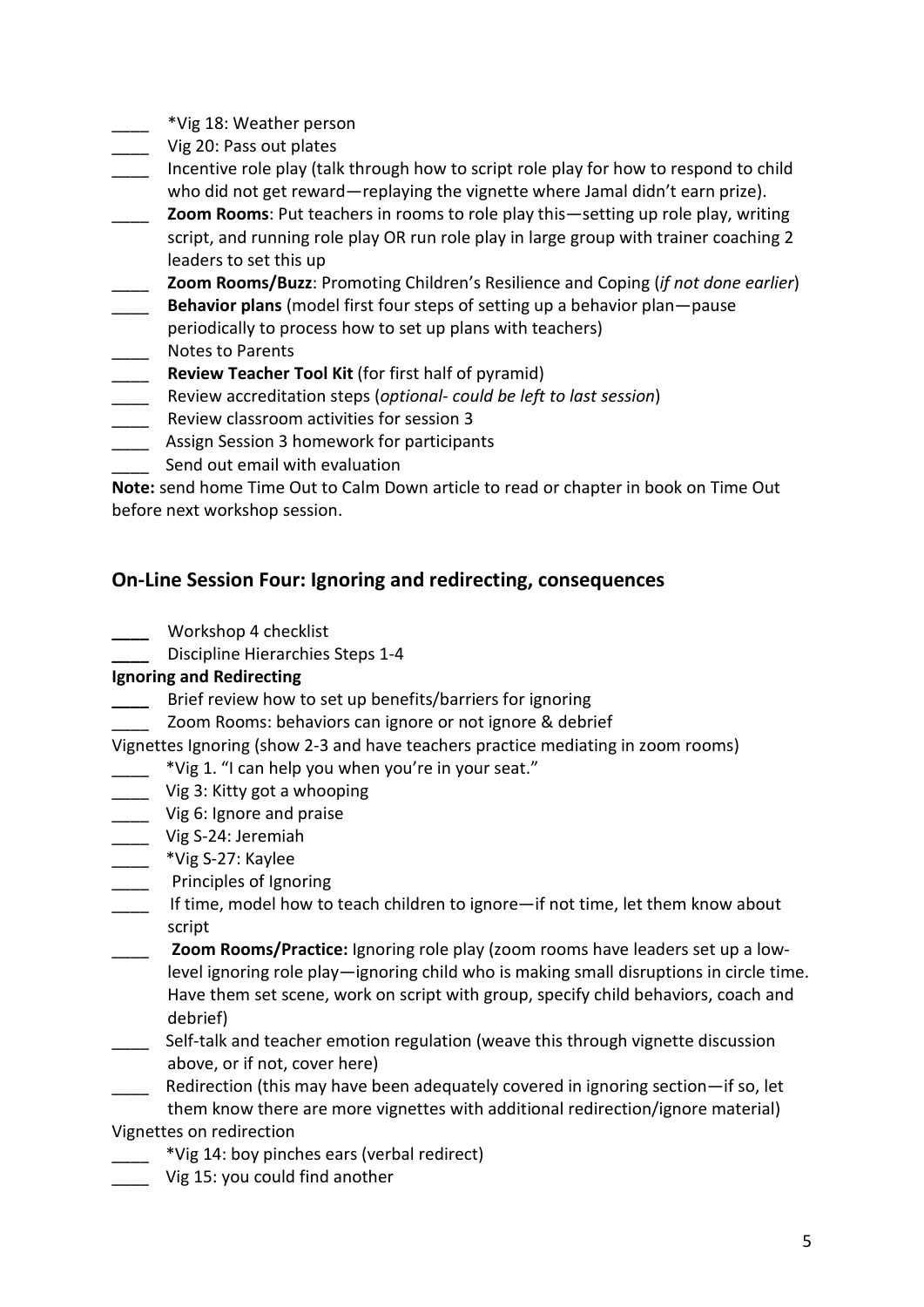- \_\_\_\_ \*Vig 18: Weather person
- Vig 20: Pass out plates
- Incentive role play (talk through how to script role play for how to respond to child who did not get reward—replaying the vignette where Jamal didn't earn prize).
- \_\_\_\_ **Zoom Rooms**: Put teachers in rooms to role play this—setting up role play, writing script, and running role play OR run role play in large group with trainer coaching 2 leaders to set this up
- \_\_\_\_ **Zoom Rooms/Buzz**: Promoting Children's Resilience and Coping (*if not done earlier*)
- \_\_\_\_ **Behavior plans** (model first four steps of setting up a behavior plan—pause periodically to process how to set up plans with teachers)
- Notes to Parents
- **Review Teacher Tool Kit** (for first half of pyramid)
- \_\_\_\_ Review accreditation steps (*optional- could be left to last session*)
- Review classroom activities for session 3
- \_\_\_\_ Assign Session 3 homework for participants
- Send out email with evaluation

**Note:** send home Time Out to Calm Down article to read or chapter in book on Time Out before next workshop session.

### **On-Line Session Four: Ignoring and redirecting, consequences**

- **\_\_\_\_** Workshop 4 checklist
	- **\_\_\_\_** Discipline Hierarchies Steps 1-4

#### **Ignoring and Redirecting**

- **\_\_\_\_** Brief review how to set up benefits/barriers for ignoring
	- Zoom Rooms: behaviors can ignore or not ignore & debrief
- Vignettes Ignoring (show 2-3 and have teachers practice mediating in zoom rooms)
	- \*Vig 1. "I can help you when you're in your seat."
- Uig 3: Kitty got a whooping
- \_\_\_\_ Vig 6: Ignore and praise
- \_\_\_\_ Vig S-24: Jeremiah
- \_\_\_\_ \*Vig S-27: Kaylee
- \_\_\_\_ Principles of Ignoring
- \_\_\_\_ If time, model how to teach children to ignore—if not time, let them know about script
- \_\_\_\_ **Zoom Rooms/Practice:** Ignoring role play (zoom rooms have leaders set up a lowlevel ignoring role play—ignoring child who is making small disruptions in circle time. Have them set scene, work on script with group, specify child behaviors, coach and debrief)
- \_\_\_\_ Self-talk and teacher emotion regulation (weave this through vignette discussion above, or if not, cover here)
- \_\_\_\_ Redirection (this may have been adequately covered in ignoring section—if so, let them know there are more vignettes with additional redirection/ignore material)

Vignettes on redirection

- \_\_\_\_ \*Vig 14: boy pinches ears (verbal redirect)
- Vig 15: you could find another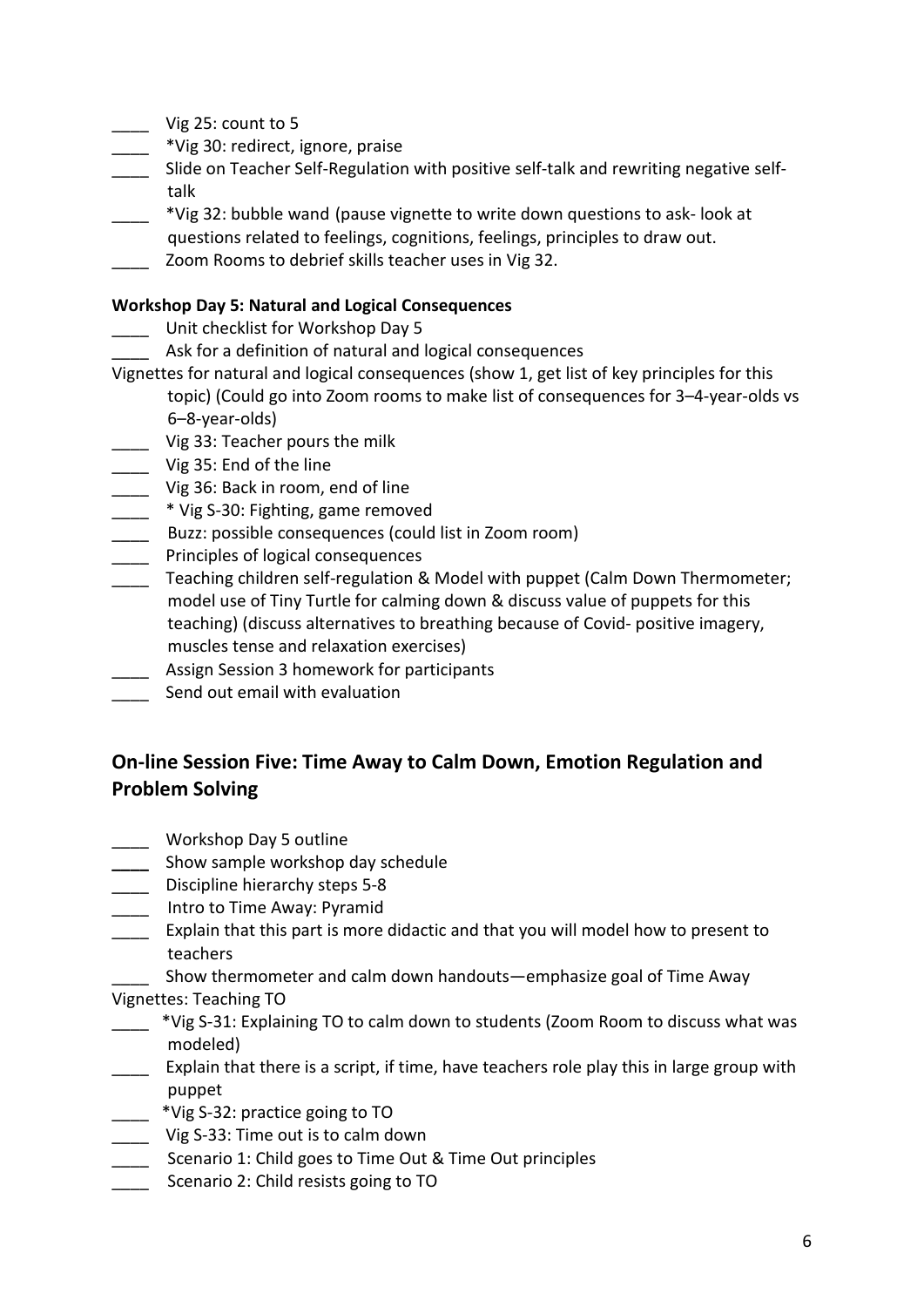- $\angle$  Vig 25: count to 5
- \_\_\_\_ \*Vig 30: redirect, ignore, praise
- \_\_\_\_ Slide on Teacher Self-Regulation with positive self-talk and rewriting negative selftalk
- \_\_\_\_ \*Vig 32: bubble wand (pause vignette to write down questions to ask- look at questions related to feelings, cognitions, feelings, principles to draw out.
- Zoom Rooms to debrief skills teacher uses in Vig 32.

#### **Workshop Day 5: Natural and Logical Consequences**

- Unit checklist for Workshop Day 5
- Ask for a definition of natural and logical consequences
- Vignettes for natural and logical consequences (show 1, get list of key principles for this topic) (Could go into Zoom rooms to make list of consequences for 3–4-year-olds vs 6–8-year-olds)
- \_\_\_\_ Vig 33: Teacher pours the milk
- \_\_\_\_ Vig 35: End of the line
- Uig 36: Back in room, end of line
- \_\_\_\_ \* Vig S-30: Fighting, game removed
- \_\_\_\_ Buzz: possible consequences (could list in Zoom room)
- \_\_\_\_ Principles of logical consequences
- \_\_\_\_ Teaching children self-regulation & Model with puppet (Calm Down Thermometer; model use of Tiny Turtle for calming down & discuss value of puppets for this teaching) (discuss alternatives to breathing because of Covid- positive imagery, muscles tense and relaxation exercises)
- \_\_\_\_ Assign Session 3 homework for participants
- Send out email with evaluation

# **On-line Session Five: Time Away to Calm Down, Emotion Regulation and Problem Solving**

- \_\_\_\_ Workshop Day 5 outline
- **\_\_\_\_** Show sample workshop day schedule
- \_\_\_\_ Discipline hierarchy steps 5-8
- \_\_\_\_ Intro to Time Away: Pyramid
- **Explain that this part is more didactic and that you will model how to present to** teachers
- \_\_\_\_ Show thermometer and calm down handouts—emphasize goal of Time Away Vignettes: Teaching TO
- \_\_\_\_ \*Vig S-31: Explaining TO to calm down to students (Zoom Room to discuss what was modeled)
- **\_\_\_\_** Explain that there is a script, if time, have teachers role play this in large group with puppet
- \_\_\_\_ \*Vig S-32: practice going to TO
- \_\_\_\_ Vig S-33: Time out is to calm down
- \_\_\_\_ Scenario 1: Child goes to Time Out & Time Out principles
- \_\_\_\_ Scenario 2: Child resists going to TO